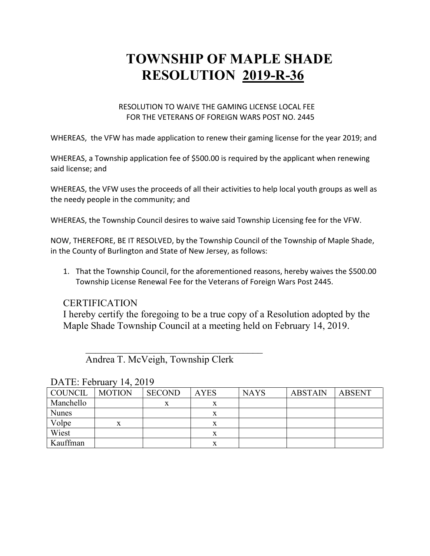# **TOWNSHIP OF MAPLE SHADE RESOLUTION 2019-R-36**

#### RESOLUTION TO WAIVE THE GAMING LICENSE LOCAL FEE FOR THE VETERANS OF FOREIGN WARS POST NO. 2445

WHEREAS, the VFW has made application to renew their gaming license for the year 2019; and

WHEREAS, a Township application fee of \$500.00 is required by the applicant when renewing said license; and

WHEREAS, the VFW uses the proceeds of all their activities to help local youth groups as well as the needy people in the community; and

WHEREAS, the Township Council desires to waive said Township Licensing fee for the VFW.

NOW, THEREFORE, BE IT RESOLVED, by the Township Council of the Township of Maple Shade, in the County of Burlington and State of New Jersey, as follows:

1. That the Township Council, for the aforementioned reasons, hereby waives the \$500.00 Township License Renewal Fee for the Veterans of Foreign Wars Post 2445.

#### **CERTIFICATION**

I hereby certify the foregoing to be a true copy of a Resolution adopted by the Maple Shade Township Council at a meeting held on February 14, 2019.

Andrea T. McVeigh, Township Clerk

 $\overline{\phantom{a}}$ 

| . <i>.</i>   |               |               |             |             |                |        |  |  |
|--------------|---------------|---------------|-------------|-------------|----------------|--------|--|--|
| COUNCIL      | <b>MOTION</b> | <b>SECOND</b> | <b>AYES</b> | <b>NAYS</b> | <b>ABSTAIN</b> | ABSENT |  |  |
| Manchello    |               | X             |             |             |                |        |  |  |
| <b>Nunes</b> |               |               |             |             |                |        |  |  |
| Volpe        | X             |               | x           |             |                |        |  |  |
| Wiest        |               |               | x           |             |                |        |  |  |
| Kauffman     |               |               | x           |             |                |        |  |  |

DATE: February 14, 2019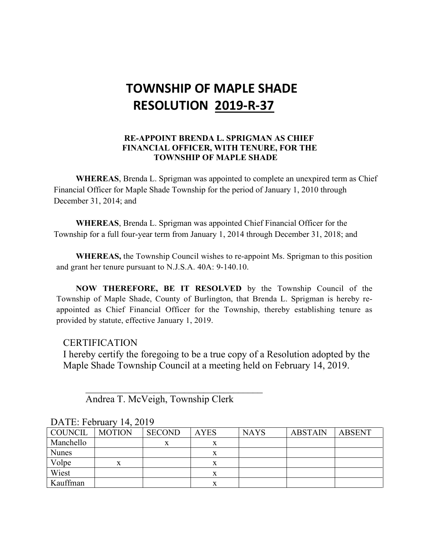# **TOWNSHIP OF MAPLE SHADE RESOLUTION 2019-R-37**

#### **RE-APPOINT BRENDA L. SPRIGMAN AS CHIEF FINANCIAL OFFICER, WITH TENURE, FOR THE TOWNSHIP OF MAPLE SHADE**

**WHEREAS**, Brenda L. Sprigman was appointed to complete an unexpired term as Chief Financial Officer for Maple Shade Township for the period of January 1, 2010 through December 31, 2014; and

**WHEREAS**, Brenda L. Sprigman was appointed Chief Financial Officer for the Township for a full four-year term from January 1, 2014 through December 31, 2018; and

**WHEREAS,** the Township Council wishes to re-appoint Ms. Sprigman to this position and grant her tenure pursuant to N.J.S.A. 40A: 9-140.10.

**NOW THEREFORE, BE IT RESOLVED** by the Township Council of the Township of Maple Shade, County of Burlington, that Brenda L. Sprigman is hereby reappointed as Chief Financial Officer for the Township, thereby establishing tenure as provided by statute, effective January 1, 2019.

## **CERTIFICATION**

I hereby certify the foregoing to be a true copy of a Resolution adopted by the Maple Shade Township Council at a meeting held on February 14, 2019.

Andrea T. McVeigh, Township Clerk

 $\overline{\phantom{a}}$ 

| COUNCIL      | <b>MOTION</b> | <b>SECOND</b> | <b>AYES</b> | <b>NAYS</b> | <b>ABSTAIN</b> | ABSENT |  |  |
|--------------|---------------|---------------|-------------|-------------|----------------|--------|--|--|
| Manchello    |               | x             |             |             |                |        |  |  |
| <b>Nunes</b> |               |               |             |             |                |        |  |  |
| Volpe        | X             |               | x           |             |                |        |  |  |
| Wiest        |               |               |             |             |                |        |  |  |
| Kauffman     |               |               |             |             |                |        |  |  |

## DATE: February 14, 2019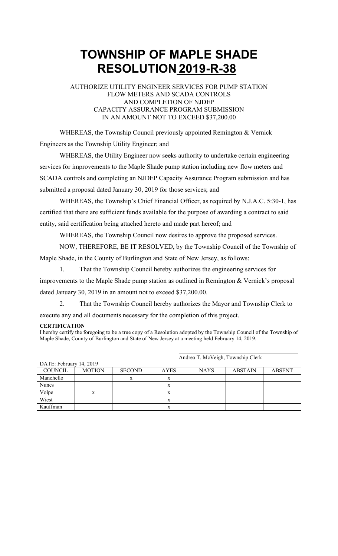# **TOWNSHIP OF MAPLE SHADE RESOLUTION 2019-R-38**

#### AUTHORIZE UTILITY ENGINEER SERVICES FOR PUMP STATION FLOW METERS AND SCADA CONTROLS AND COMPLETION OF NJDEP CAPACITY ASSURANCE PROGRAM SUBMISSION IN AN AMOUNT NOT TO EXCEED \$37,200.00

WHEREAS, the Township Council previously appointed Remington & Vernick Engineers as the Township Utility Engineer; and

WHEREAS, the Utility Engineer now seeks authority to undertake certain engineering services for improvements to the Maple Shade pump station including new flow meters and SCADA controls and completing an NJDEP Capacity Assurance Program submission and has submitted a proposal dated January 30, 2019 for those services; and

WHEREAS, the Township's Chief Financial Officer, as required by N.J.A.C. 5:30-1, has certified that there are sufficient funds available for the purpose of awarding a contract to said entity, said certification being attached hereto and made part hereof; and

WHEREAS, the Township Council now desires to approve the proposed services.

NOW, THEREFORE, BE IT RESOLVED, by the Township Council of the Township of Maple Shade, in the County of Burlington and State of New Jersey, as follows:

1. That the Township Council hereby authorizes the engineering services for improvements to the Maple Shade pump station as outlined in Remington & Vernick's proposal dated January 30, 2019 in an amount not to exceed \$37,200.00.

2. That the Township Council hereby authorizes the Mayor and Township Clerk to execute any and all documents necessary for the completion of this project.

#### **CERTIFICATION**

I hereby certify the foregoing to be a true copy of a Resolution adopted by the Township Council of the Township of Maple Shade, County of Burlington and State of New Jersey at a meeting held February 14, 2019.

| DATE: February 14, 2019 |               |               |             |             |                |               |
|-------------------------|---------------|---------------|-------------|-------------|----------------|---------------|
| <b>COUNCIL</b>          | <b>MOTION</b> | <b>SECOND</b> | <b>AYES</b> | <b>NAYS</b> | <b>ABSTAIN</b> | <b>ABSENT</b> |
| Manchello               |               | x             | X           |             |                |               |
| Nunes                   |               |               | X           |             |                |               |
| Volpe                   |               |               |             |             |                |               |
| Wiest                   |               |               |             |             |                |               |
| Kauffman                |               |               | л           |             |                |               |

DATE: February 14, 2019

Andrea T. McVeigh, Township Clerk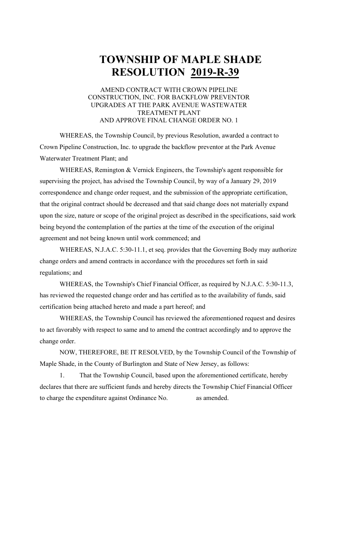# **TOWNSHIP OF MAPLE SHADE RESOLUTION 2019-R-39**

#### AMEND CONTRACT WITH CROWN PIPELINE CONSTRUCTION, INC. FOR BACKFLOW PREVENTOR UPGRADES AT THE PARK AVENUE WASTEWATER TREATMENT PLANT AND APPROVE FINAL CHANGE ORDER NO. 1

WHEREAS, the Township Council, by previous Resolution, awarded a contract to Crown Pipeline Construction, Inc. to upgrade the backflow preventor at the Park Avenue Waterwater Treatment Plant; and

WHEREAS, Remington & Vernick Engineers, the Township's agent responsible for supervising the project, has advised the Township Council, by way of a January 29, 2019 correspondence and change order request, and the submission of the appropriate certification, that the original contract should be decreased and that said change does not materially expand upon the size, nature or scope of the original project as described in the specifications, said work being beyond the contemplation of the parties at the time of the execution of the original agreement and not being known until work commenced; and

WHEREAS, N.J.A.C. 5:30-11.1, et seq. provides that the Governing Body may authorize change orders and amend contracts in accordance with the procedures set forth in said regulations; and

WHEREAS, the Township's Chief Financial Officer, as required by N.J.A.C. 5:30-11.3, has reviewed the requested change order and has certified as to the availability of funds, said certification being attached hereto and made a part hereof; and

WHEREAS, the Township Council has reviewed the aforementioned request and desires to act favorably with respect to same and to amend the contract accordingly and to approve the change order.

NOW, THEREFORE, BE IT RESOLVED, by the Township Council of the Township of Maple Shade, in the County of Burlington and State of New Jersey, as follows:

1. That the Township Council, based upon the aforementioned certificate, hereby declares that there are sufficient funds and hereby directs the Township Chief Financial Officer to charge the expenditure against Ordinance No. as amended.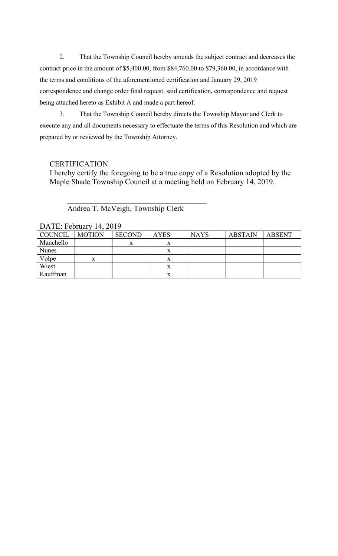2. That the Township Council hereby amends the subject contract and decreases the contract price in the amount of \$5,400.00, from \$84,760.00 to \$79,360.00, in accordance with the terms and conditions of the aforementioned certification and January 29, 2019 correspondence and change order final request, said certification, correspondence and request being attached hereto as Exhibit A and made a part hereof.

3. That the Township Council hereby directs the Township Mayor and Clerk to execute any and all documents necessary to effectuate the terms of this Resolution and which are prepared by or reviewed by the Township Attorney.

## **CERTIFICATION**

I hereby certify the foregoing to be a true copy of a Resolution adopted by the Maple Shade Township Council at a meeting held on February 14, 2019.

Andrea T. McVeigh, Township Clerk

 $\overline{\phantom{a}}$ 

| DATE. FUITUALY 14, $2019$ |               |               |             |             |                |        |  |  |
|---------------------------|---------------|---------------|-------------|-------------|----------------|--------|--|--|
| <b>COUNCIL</b>            | <b>MOTION</b> | <b>SECOND</b> | <b>AYES</b> | <b>NAYS</b> | <b>ABSTAIN</b> | ABSENT |  |  |
| Manchello                 |               |               | ୵⊾          |             |                |        |  |  |
| <b>Nunes</b>              |               |               |             |             |                |        |  |  |
| Volpe                     | X             |               |             |             |                |        |  |  |
| Wiest                     |               |               |             |             |                |        |  |  |
| Kauffman                  |               |               |             |             |                |        |  |  |

DATE: February 14, 2019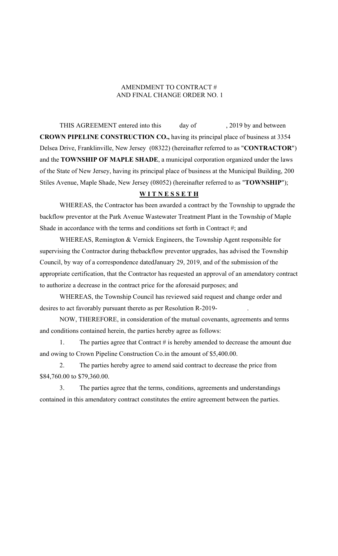#### AMENDMENT TO CONTRACT # AND FINAL CHANGE ORDER NO. 1

THIS AGREEMENT entered into this day of , 2019 by and between **CROWN PIPELINE CONSTRUCTION CO.,** having its principal place of business at 3354 Delsea Drive, Franklinville, New Jersey (08322) (hereinafter referred to as "**CONTRACTOR**") and the **TOWNSHIP OF MAPLE SHADE**, a municipal corporation organized under the laws of the State of New Jersey, having its principal place of business at the Municipal Building, 200 Stiles Avenue, Maple Shade, New Jersey (08052) (hereinafter referred to as "**TOWNSHIP**");

#### **W I T N E S S E T H**

WHEREAS, the Contractor has been awarded a contract by the Township to upgrade the backflow preventor at the Park Avenue Wastewater Treatment Plant in the Township of Maple Shade in accordance with the terms and conditions set forth in Contract #; and

WHEREAS, Remington & Vernick Engineers, the Township Agent responsible for supervising the Contractor during thebackflow preventor upgrades, has advised the Township Council, by way of a correspondence datedJanuary 29, 2019, and of the submission of the appropriate certification, that the Contractor has requested an approval of an amendatory contract to authorize a decrease in the contract price for the aforesaid purposes; and

WHEREAS, the Township Council has reviewed said request and change order and desires to act favorably pursuant thereto as per Resolution R-2019-

NOW, THEREFORE, in consideration of the mutual covenants, agreements and terms and conditions contained herein, the parties hereby agree as follows:

1. The parties agree that Contract # is hereby amended to decrease the amount due and owing to Crown Pipeline Construction Co.in the amount of \$5,400.00.

2. The parties hereby agree to amend said contract to decrease the price from \$84,760.00 to \$79,360.00.

3. The parties agree that the terms, conditions, agreements and understandings contained in this amendatory contract constitutes the entire agreement between the parties.